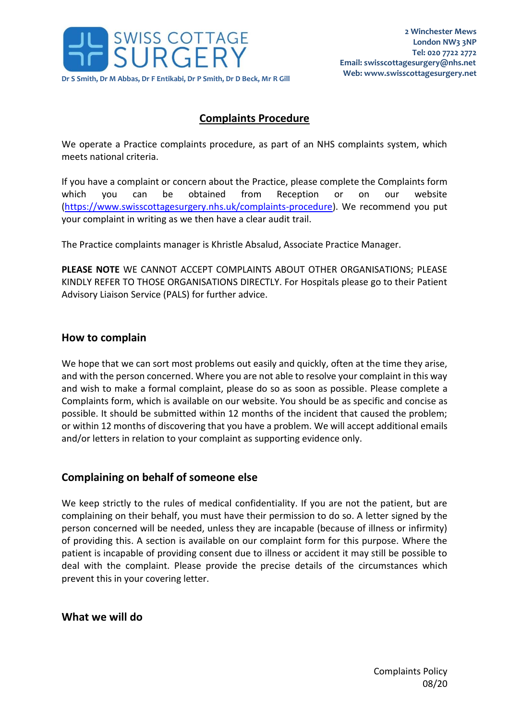

# **Complaints Procedure**

We operate a Practice complaints procedure, as part of an NHS complaints system, which meets national criteria.

If you have a complaint or concern about the Practice, please complete the Complaints form which you can be obtained from Reception or on our website [\(https://www.swisscottagesurgery.nhs.uk/complaints-procedure\)](https://www.swisscottagesurgery.nhs.uk/complaints-procedure). We recommend you put your complaint in writing as we then have a clear audit trail.

The Practice complaints manager is Khristle Absalud, Associate Practice Manager.

**PLEASE NOTE** WE CANNOT ACCEPT COMPLAINTS ABOUT OTHER ORGANISATIONS; PLEASE KINDLY REFER TO THOSE ORGANISATIONS DIRECTLY. For Hospitals please go to their Patient Advisory Liaison Service (PALS) for further advice.

### **How to complain**

We hope that we can sort most problems out easily and quickly, often at the time they arise, and with the person concerned. Where you are not able to resolve your complaint in this way and wish to make a formal complaint, please do so as soon as possible. Please complete a Complaints form, which is available on our website. You should be as specific and concise as possible. It should be submitted within 12 months of the incident that caused the problem; or within 12 months of discovering that you have a problem. We will accept additional emails and/or letters in relation to your complaint as supporting evidence only.

### **Complaining on behalf of someone else**

We keep strictly to the rules of medical confidentiality. If you are not the patient, but are complaining on their behalf, you must have their permission to do so. A letter signed by the person concerned will be needed, unless they are incapable (because of illness or infirmity) of providing this. A section is available on our complaint form for this purpose. Where the patient is incapable of providing consent due to illness or accident it may still be possible to deal with the complaint. Please provide the precise details of the circumstances which prevent this in your covering letter.

**What we will do**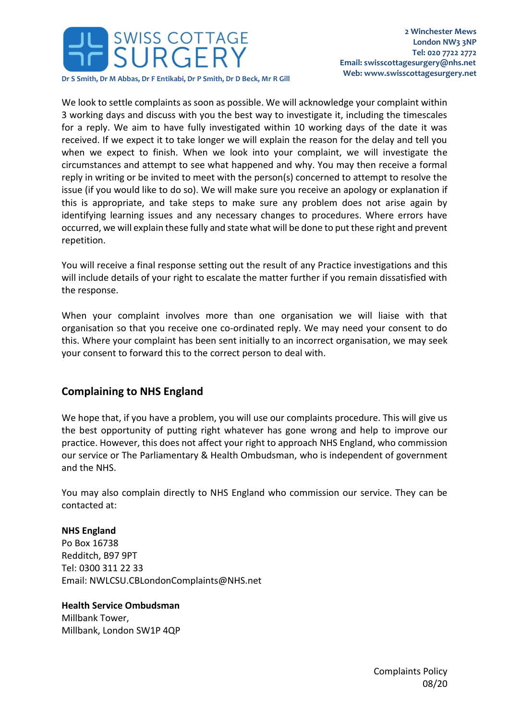

We look to settle complaints as soon as possible. We will acknowledge your complaint within 3 working days and discuss with you the best way to investigate it, including the timescales for a reply. We aim to have fully investigated within 10 working days of the date it was received. If we expect it to take longer we will explain the reason for the delay and tell you when we expect to finish. When we look into your complaint, we will investigate the circumstances and attempt to see what happened and why. You may then receive a formal reply in writing or be invited to meet with the person(s) concerned to attempt to resolve the issue (if you would like to do so). We will make sure you receive an apology or explanation if this is appropriate, and take steps to make sure any problem does not arise again by identifying learning issues and any necessary changes to procedures. Where errors have occurred, we will explain these fully and state what will be done to put these right and prevent repetition.

You will receive a final response setting out the result of any Practice investigations and this will include details of your right to escalate the matter further if you remain dissatisfied with the response.

When your complaint involves more than one organisation we will liaise with that organisation so that you receive one co-ordinated reply. We may need your consent to do this. Where your complaint has been sent initially to an incorrect organisation, we may seek your consent to forward this to the correct person to deal with.

## **Complaining to NHS England**

We hope that, if you have a problem, you will use our complaints procedure. This will give us the best opportunity of putting right whatever has gone wrong and help to improve our practice. However, this does not affect your right to approach NHS England, who commission our service or The Parliamentary & Health Ombudsman, who is independent of government and the NHS.

You may also complain directly to NHS England who commission our service. They can be contacted at:

#### **NHS England**

Po Box 16738 Redditch, B97 9PT Tel: 0300 311 22 33 Email: NWLCSU.CBLondonComplaints@NHS.net

#### **Health Service Ombudsman**

Millbank Tower, Millbank, London SW1P 4QP